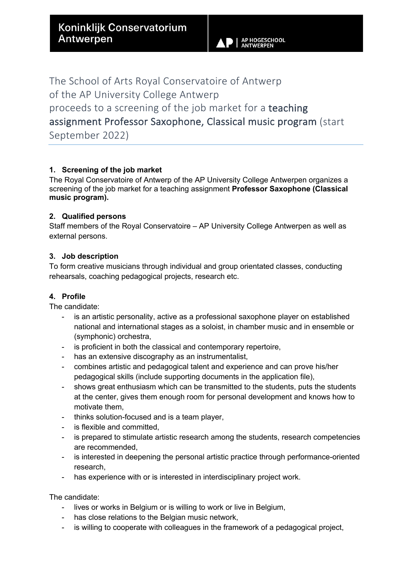The School of Arts Royal Conservatoire of Antwerp of the AP University College Antwerp proceeds to a screening of the job market for a teaching assignment Professor Saxophone, Classical music program (start September 2022)

# **1. Screening of the job market**

The Royal Conservatoire of Antwerp of the AP University College Antwerpen organizes a screening of the job market for a teaching assignment **Professor Saxophone (Classical music program).**

#### **2. Qualified persons**

Staff members of the Royal Conservatoire – AP University College Antwerpen as well as external persons.

#### **3. Job description**

To form creative musicians through individual and group orientated classes, conducting rehearsals, coaching pedagogical projects, research etc.

## **4. Profile**

The candidate:

- is an artistic personality, active as a professional saxophone player on established national and international stages as a soloist, in chamber music and in ensemble or (symphonic) orchestra,
- is proficient in both the classical and contemporary repertoire,
- has an extensive discography as an instrumentalist,
- combines artistic and pedagogical talent and experience and can prove his/her pedagogical skills (include supporting documents in the application file),
- shows great enthusiasm which can be transmitted to the students, puts the students at the center, gives them enough room for personal development and knows how to motivate them,
- thinks solution-focused and is a team player,
- is flexible and committed,
- is prepared to stimulate artistic research among the students, research competencies are recommended,
- is interested in deepening the personal artistic practice through performance-oriented research,
- has experience with or is interested in interdisciplinary project work.

The candidate:

- lives or works in Belgium or is willing to work or live in Belgium,
- has close relations to the Belgian music network,
- is willing to cooperate with colleagues in the framework of a pedagogical project,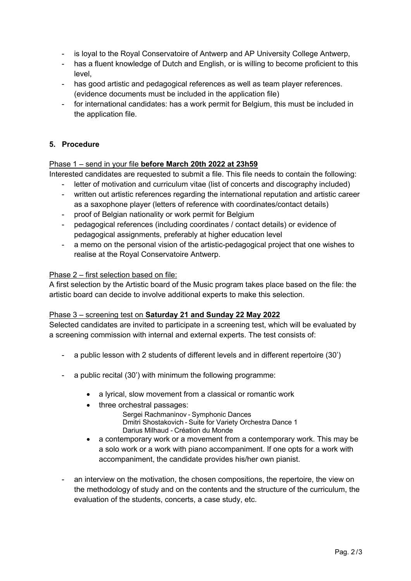- is loyal to the Royal Conservatoire of Antwerp and AP University College Antwerp,
- has a fluent knowledge of Dutch and English, or is willing to become proficient to this level,
- has good artistic and pedagogical references as well as team player references. (evidence documents must be included in the application file)
- for international candidates: has a work permit for Belgium, this must be included in the application file.

# **5. Procedure**

## Phase 1 – send in your file **before March 20th 2022 at 23h59**

Interested candidates are requested to submit a file. This file needs to contain the following:

- letter of motivation and curriculum vitae (list of concerts and discography included)
- written out artistic references regarding the international reputation and artistic career as a saxophone player (letters of reference with coordinates/contact details)
- proof of Belgian nationality or work permit for Belgium
- pedagogical references (including coordinates / contact details) or evidence of pedagogical assignments, preferably at higher education level
- a memo on the personal vision of the artistic-pedagogical project that one wishes to realise at the Royal Conservatoire Antwerp.

## Phase 2 – first selection based on file:

A first selection by the Artistic board of the Music program takes place based on the file: the artistic board can decide to involve additional experts to make this selection.

## Phase 3 – screening test on **Saturday 21 and Sunday 22 May 2022**

Selected candidates are invited to participate in a screening test, which will be evaluated by a screening commission with internal and external experts. The test consists of:

- a public lesson with 2 students of different levels and in different repertoire (30')
- a public recital (30') with minimum the following programme:
	- a lyrical, slow movement from a classical or romantic work
	- three orchestral passages:
		- Sergei Rachmaninov - Symphonic Dances  Dmitri Shostakovich - Suite for Variety Orchestra Dance 1  Darius Milhaud - Création du Monde
	- a contemporary work or a movement from a contemporary work. This may be a solo work or a work with piano accompaniment. If one opts for a work with accompaniment, the candidate provides his/her own pianist.
- an interview on the motivation, the chosen compositions, the repertoire, the view on the methodology of study and on the contents and the structure of the curriculum, the evaluation of the students, concerts, a case study, etc.